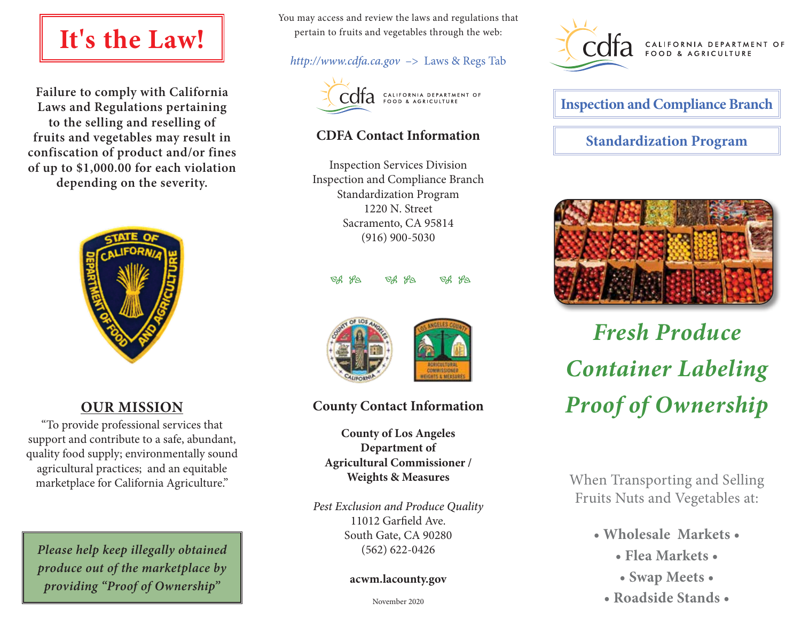# **It's the Law!**

**Failure to comply with California Laws and Regulations pertaining to the selling and reselling of fruits and vegetables may result in confiscation of product and/or fines of up to \$1,000.00 for each violation depending on the severity.**



## **OUR MISSION**

"To provide professional services that support and contribute to a safe, abundant, quality food supply; environmentally sound agricultural practices; and an equitable marketplace for California Agriculture."

*Please help keep illegally obtained produce out of the marketplace by providing "Proof of Ownership"*

You may access and review the laws and regulations that pertain to fruits and vegetables through the web:

### *http://www.cdfa.ca.gov* –> Laws & Regs Tab



## $\text{C}$ <sup> $\alpha$ </sup>  $\alpha$ <sup>CALIFORNIA DEPARTMENT OF</sup>

## **CDFA Contact Information**

Inspection Services Division Inspection and Compliance Branch Standardization Program 1220 N. Street Sacramento, CA 95814 (916) 900-5030

BS S BS S BS S



## **County Contact Information**

**County of Los Angeles Department of Agricultural Commissioner / Weights & Measures**

*Pest Exclusion and Produce Quality* 11012 Garfield Ave. South Gate, CA 90280 (562) 622-0426

#### **acwm.lacounty.gov**



**Inspection and Compliance Branch Standardization Program**



# *Fresh Produce Container Labeling Proof of Ownership*

When Transporting and Selling Fruits Nuts and Vegetables at:

- **Wholesale Markets •**
	- **Flea Markets •**
	- **Swap Meets •**
	- **Roadside Stands •**

November 2020